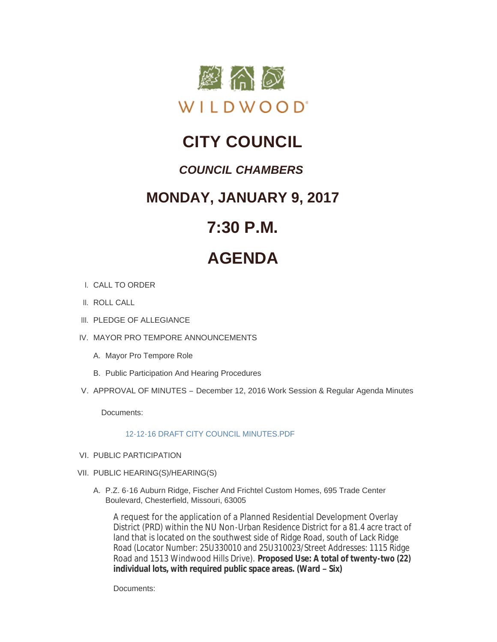

# **CITY COUNCIL**

### *COUNCIL CHAMBERS*

### **MONDAY, JANUARY 9, 2017**

## **7:30 P.M.**

# **AGENDA**

- CALL TO ORDER I.
- II. ROLL CALL
- III. PLEDGE OF ALLEGIANCE
- IV. MAYOR PRO TEMPORE ANNOUNCEMENTS
	- A. Mayor Pro Tempore Role
	- B. Public Participation And Hearing Procedures
- V. APPROVAL OF MINUTES December 12, 2016 Work Session & Regular Agenda Minutes

Documents:

#### [12-12-16 DRAFT CITY COUNCIL MINUTES.PDF](http://cityofwildwood.com/AgendaCenter/ViewFile/Item/9378?fileID=13735)

- VI. PUBLIC PARTICIPATION
- VII. PUBLIC HEARING(S)/HEARING(S)
	- A. P.Z. 6-16 Auburn Ridge, Fischer And Frichtel Custom Homes, 695 Trade Center Boulevard, Chesterfield, Missouri, 63005

A request for the application of a Planned Residential Development Overlay District (PRD) within the NU Non-Urban Residence District for a 81.4 acre tract of land that is located on the southwest side of Ridge Road, south of Lack Ridge Road (Locator Number: 25U330010 and 25U310023/Street Addresses: 1115 Ridge Road and 1513 Windwood Hills Drive). **Proposed Use: A total of twenty-two (22) individual lots, with required public space areas. (Ward – Six)**

Documents: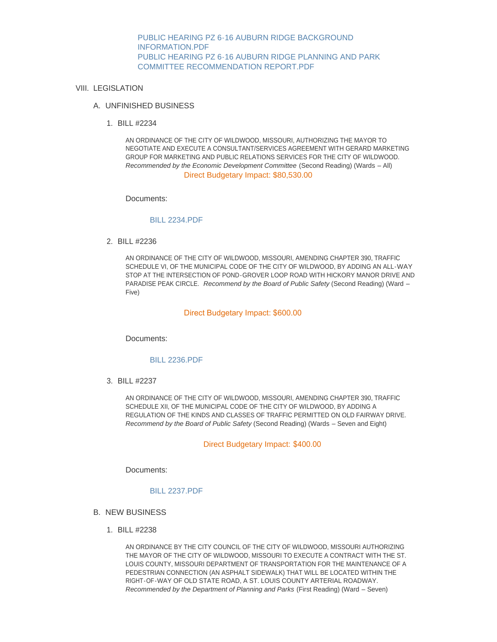[PUBLIC HEARING PZ 6-16 AUBURN RIDGE BACKGROUND](http://cityofwildwood.com/AgendaCenter/ViewFile/Item/9380?fileID=13733)  INFORMATION.PDF [PUBLIC HEARING PZ 6-16 AUBURN RIDGE PLANNING AND PARK](http://cityofwildwood.com/AgendaCenter/ViewFile/Item/9380?fileID=13734)  COMMITTEE RECOMMENDATION REPORT.PDF

- VIII. LEGISLATION
	- UNFINISHED BUSINESS A.
		- BILL #2234 1.

AN ORDINANCE OF THE CITY OF WILDWOOD, MISSOURI, AUTHORIZING THE MAYOR TO NEGOTIATE AND EXECUTE A CONSULTANT/SERVICES AGREEMENT WITH GERARD MARKETING GROUP FOR MARKETING AND PUBLIC RELATIONS SERVICES FOR THE CITY OF WILDWOOD. *Recommended by the Economic Development Committee* (Second Reading) (Wards – All) Direct Budgetary Impact: \$80,530.00

Documents:

#### [BILL 2234.PDF](http://cityofwildwood.com/AgendaCenter/ViewFile/Item/9383?fileID=13724)

BILL #2236 2.

AN ORDINANCE OF THE CITY OF WILDWOOD, MISSOURI, AMENDING CHAPTER 390, TRAFFIC SCHEDULE VI, OF THE MUNICIPAL CODE OF THE CITY OF WILDWOOD, BY ADDING AN ALL-WAY STOP AT THE INTERSECTION OF POND-GROVER LOOP ROAD WITH HICKORY MANOR DRIVE AND PARADISE PEAK CIRCLE. *Recommend by the Board of Public Safety* (Second Reading) (Ward – Five)

#### Direct Budgetary Impact: \$600.00

Documents:

#### [BILL 2236.PDF](http://cityofwildwood.com/AgendaCenter/ViewFile/Item/9384?fileID=13725)

BILL #2237 3.

AN ORDINANCE OF THE CITY OF WILDWOOD, MISSOURI, AMENDING CHAPTER 390, TRAFFIC SCHEDULE XII, OF THE MUNICIPAL CODE OF THE CITY OF WILDWOOD, BY ADDING A REGULATION OF THE KINDS AND CLASSES OF TRAFFIC PERMITTED ON OLD FAIRWAY DRIVE. *Recommend by the Board of Public Safety* (Second Reading) (Wards – Seven and Eight)

#### Direct Budgetary Impact: \$400.00

Documents:

#### [BILL 2237.PDF](http://cityofwildwood.com/AgendaCenter/ViewFile/Item/9385?fileID=13726)

- **B. NEW BUSINESS** 
	- BILL #2238 1.

AN ORDINANCE BY THE CITY COUNCIL OF THE CITY OF WILDWOOD, MISSOURI AUTHORIZING THE MAYOR OF THE CITY OF WILDWOOD, MISSOURI TO EXECUTE A CONTRACT WITH THE ST. LOUIS COUNTY, MISSOURI DEPARTMENT OF TRANSPORTATION FOR THE MAINTENANCE OF A PEDESTRIAN CONNECTION (AN ASPHALT SIDEWALK) THAT WILL BE LOCATED WITHIN THE RIGHT-OF-WAY OF OLD STATE ROAD, A ST. LOUIS COUNTY ARTERIAL ROADWAY. *Recommended by the Department of Planning and Parks* (First Reading) (Ward – Seven)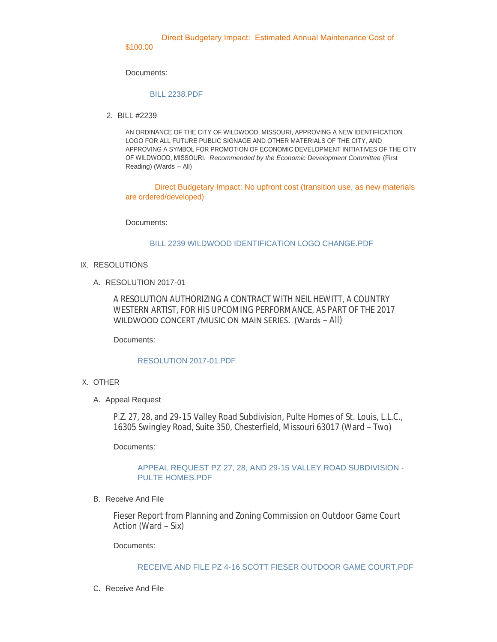### Direct Budgetary Impact: Estimated Annual Maintenance Cost of

#### \$100.00

Documents:

#### [BILL 2238.PDF](http://cityofwildwood.com/AgendaCenter/ViewFile/Item/9387?fileID=13727)

BILL #2239 2.

AN ORDINANCE OF THE CITY OF WILDWOOD, MISSOURI, APPROVING A NEW IDENTIFICATION LOGO FOR ALL FUTURE PUBLIC SIGNAGE AND OTHER MATERIALS OF THE CITY, AND APPROVING A SYMBOL FOR PROMOTION OF ECONOMIC DEVELOPMENT INITIATIVES OF THE CITY OF WILDWOOD, MISSOURI. *Recommended by the Economic Development Committee* (First Reading) (Wards – All)

Direct Budgetary Impact: No upfront cost (transition use, as new materials are ordered/developed)

Documents:

#### [BILL 2239 WILDWOOD IDENTIFICATION LOGO CHANGE.PDF](http://cityofwildwood.com/AgendaCenter/ViewFile/Item/9388?fileID=13728)

- IX. RESOLUTIONS
	- A. RESOLUTION 2017-01

A RESOLUTION AUTHORIZING A CONTRACT WITH NEIL HEWITT, A COUNTRY WESTERN ARTIST, FOR HIS UPCOMING PERFORMANCE, AS PART OF THE 2017 WILDWOOD CONCERT /MUSIC ON MAIN SERIES. (Wards – All)

Documents:

#### [RESOLUTION 2017-01.PDF](http://cityofwildwood.com/AgendaCenter/ViewFile/Item/9389?fileID=13729)

- X. OTHER
	- A. Appeal Request

P.Z. 27, 28, and 29-15 Valley Road Subdivision, Pulte Homes of St. Louis, L.L.C., 16305 Swingley Road, Suite 350, Chesterfield, Missouri 63017 (Ward – Two)

Documents:

[APPEAL REQUEST PZ 27, 28, AND 29-15 VALLEY ROAD SUBDIVISION -](http://cityofwildwood.com/AgendaCenter/ViewFile/Item/9390?fileID=13730) PULTE HOMES.PDF

#### B. Receive And File

Fieser Report from Planning and Zoning Commission on Outdoor Game Court Action (Ward – Six)

Documents:

#### [RECEIVE AND FILE PZ 4-16 SCOTT FIESER OUTDOOR GAME COURT.PDF](http://cityofwildwood.com/AgendaCenter/ViewFile/Item/9391?fileID=13731)

C. Receive And File